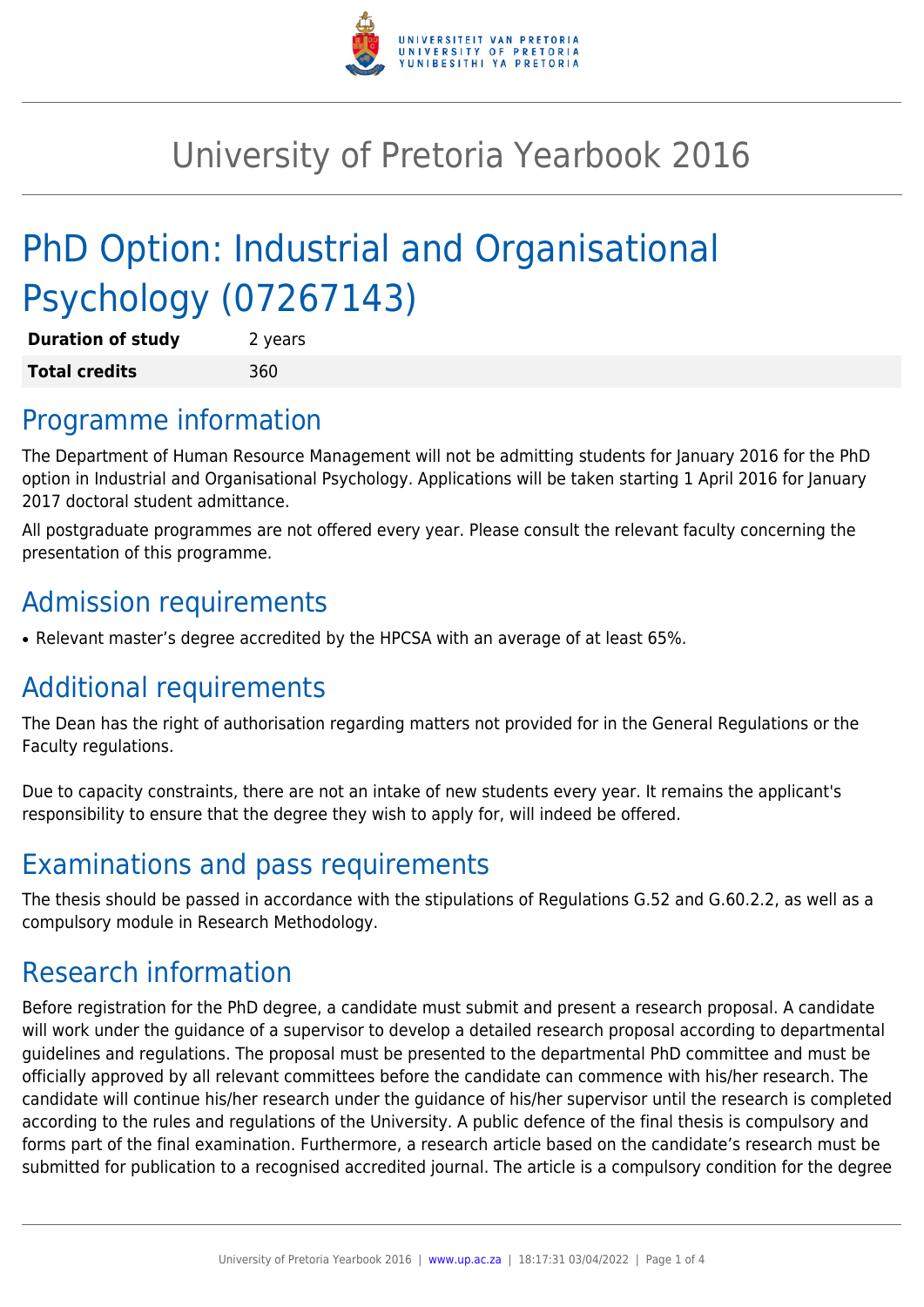

## University of Pretoria Yearbook 2016

# PhD Option: Industrial and Organisational Psychology (07267143)

| <b>Duration of study</b> | 2 years |
|--------------------------|---------|
| <b>Total credits</b>     | 360     |

#### Programme information

The Department of Human Resource Management will not be admitting students for January 2016 for the PhD option in Industrial and Organisational Psychology. Applications will be taken starting 1 April 2016 for January 2017 doctoral student admittance.

All postgraduate programmes are not offered every year. Please consult the relevant faculty concerning the presentation of this programme.

## Admission requirements

• Relevant master's degree accredited by the HPCSA with an average of at least 65%.

## Additional requirements

The Dean has the right of authorisation regarding matters not provided for in the General Regulations or the Faculty regulations.

Due to capacity constraints, there are not an intake of new students every year. It remains the applicant's responsibility to ensure that the degree they wish to apply for, will indeed be offered.

#### Examinations and pass requirements

The thesis should be passed in accordance with the stipulations of Regulations G.52 and G.60.2.2, as well as a compulsory module in Research Methodology.

#### Research information

Before registration for the PhD degree, a candidate must submit and present a research proposal. A candidate will work under the guidance of a supervisor to develop a detailed research proposal according to departmental guidelines and regulations. The proposal must be presented to the departmental PhD committee and must be officially approved by all relevant committees before the candidate can commence with his/her research. The candidate will continue his/her research under the guidance of his/her supervisor until the research is completed according to the rules and regulations of the University. A public defence of the final thesis is compulsory and forms part of the final examination. Furthermore, a research article based on the candidate's research must be submitted for publication to a recognised accredited journal. The article is a compulsory condition for the degree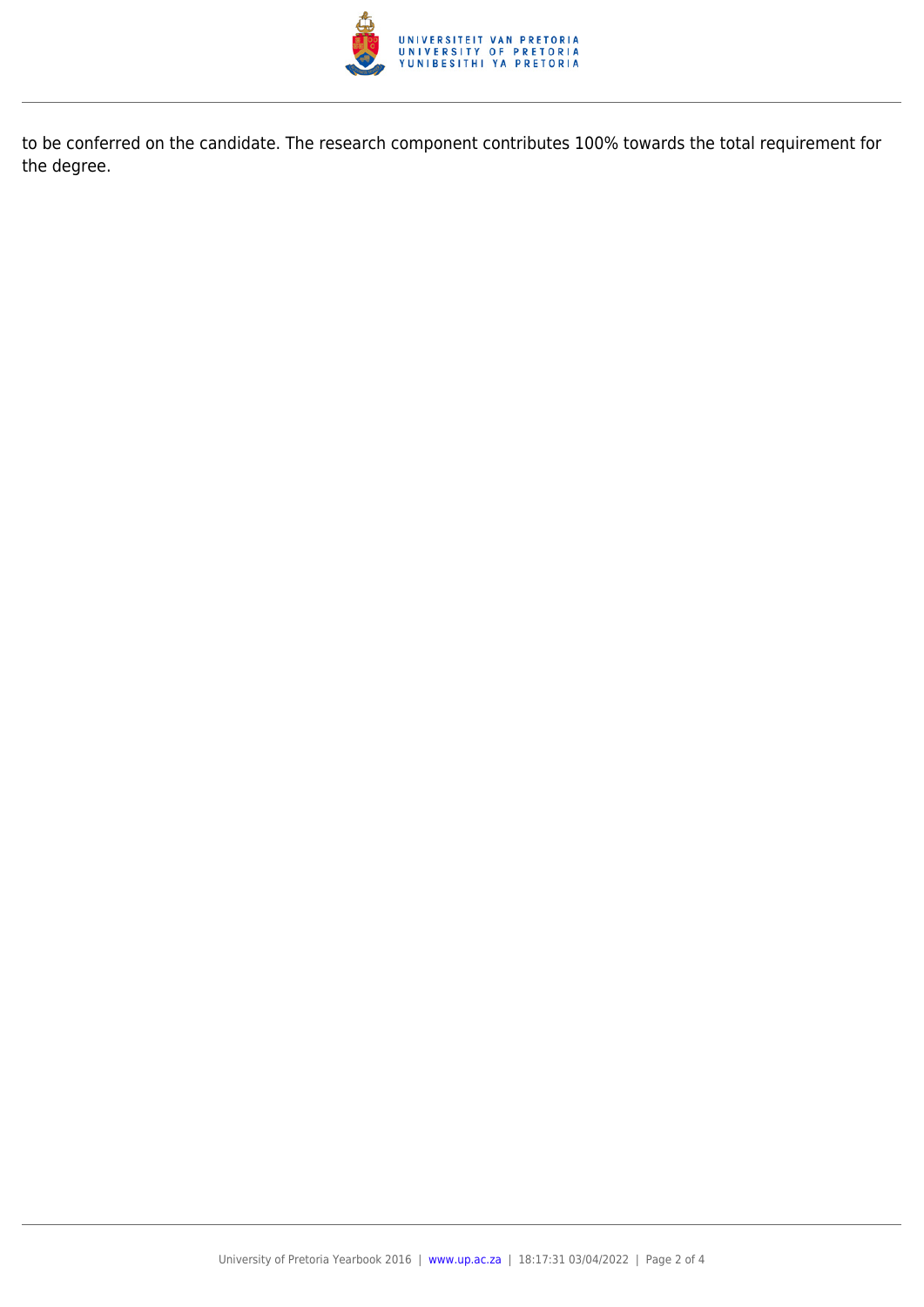

to be conferred on the candidate. The research component contributes 100% towards the total requirement for the degree.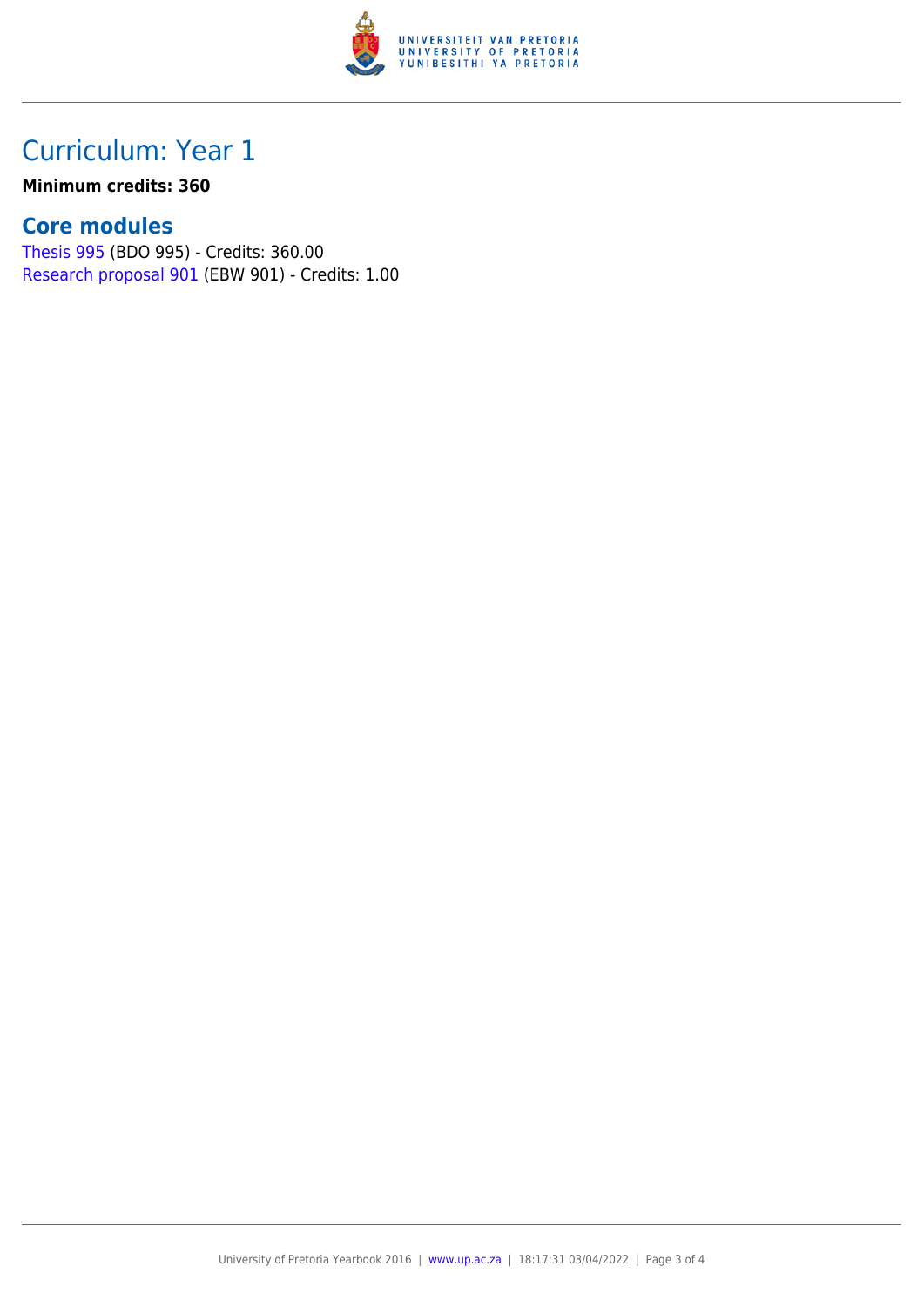

### Curriculum: Year 1

#### **Minimum credits: 360**

#### **Core modules**

[Thesis 995](https://www.up.ac.za/faculty-of-education/yearbooks/2016/modules/view/BDO 995) (BDO 995) - Credits: 360.00 [Research proposal 901](https://www.up.ac.za/faculty-of-education/yearbooks/2016/modules/view/EBW 901) (EBW 901) - Credits: 1.00